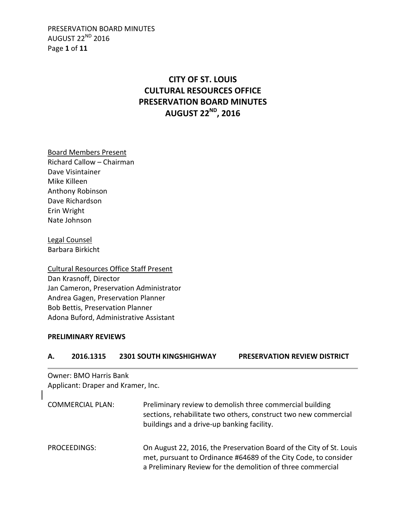PRESERVATION BOARD MINUTES AUGUST 22ND 2016 Page **1** of **11**

# **CITY OF ST. LOUIS CULTURAL RESOURCES OFFICE PRESERVATION BOARD MINUTES AUGUST 22ND, 2016**

Board Members Present

Richard Callow – Chairman Dave Visintainer Mike Killeen Anthony Robinson Dave Richardson Erin Wright Nate Johnson

Legal Counsel Barbara Birkicht

Cultural Resources Office Staff Present Dan Krasnoff, Director Jan Cameron, Preservation Administrator Andrea Gagen, Preservation Planner Bob Bettis, Preservation Planner Adona Buford, Administrative Assistant

#### **PRELIMINARY REVIEWS**

| --------  |                                |                                     |
|-----------|--------------------------------|-------------------------------------|
| 2016.1315 | <b>2301 SOUTH KINGSHIGHWAY</b> | <b>PRESERVATION REVIEW DISTRICT</b> |

Owner: BMO Harris Bank Applicant: Draper and Kramer, Inc.

| <b>COMMERCIAL PLAN:</b> | Preliminary review to demolish three commercial building<br>sections, rehabilitate two others, construct two new commercial<br>buildings and a drive-up banking facility.                             |
|-------------------------|-------------------------------------------------------------------------------------------------------------------------------------------------------------------------------------------------------|
| PROCEEDINGS:            | On August 22, 2016, the Preservation Board of the City of St. Louis<br>met, pursuant to Ordinance #64689 of the City Code, to consider<br>a Preliminary Review for the demolition of three commercial |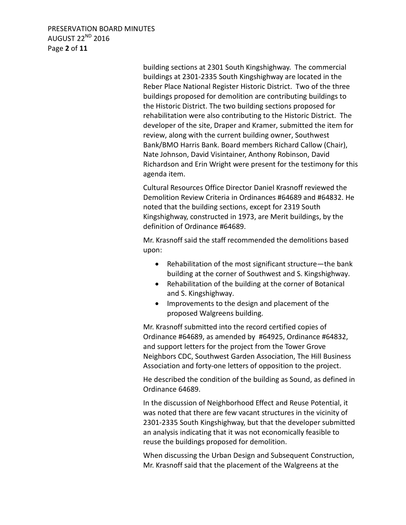PRESERVATION BOARD MINUTES AUGUST 22ND 2016 Page **2** of **11**

> building sections at 2301 South Kingshighway. The commercial buildings at 2301-2335 South Kingshighway are located in the Reber Place National Register Historic District. Two of the three buildings proposed for demolition are contributing buildings to the Historic District. The two building sections proposed for rehabilitation were also contributing to the Historic District. The developer of the site, Draper and Kramer, submitted the item for review, along with the current building owner, Southwest Bank/BMO Harris Bank. Board members Richard Callow (Chair), Nate Johnson, David Visintainer, Anthony Robinson, David Richardson and Erin Wright were present for the testimony for this agenda item.

Cultural Resources Office Director Daniel Krasnoff reviewed the Demolition Review Criteria in Ordinances #64689 and #64832. He noted that the building sections, except for 2319 South Kingshighway, constructed in 1973, are Merit buildings, by the definition of Ordinance #64689.

Mr. Krasnoff said the staff recommended the demolitions based upon:

- Rehabilitation of the most significant structure—the bank building at the corner of Southwest and S. Kingshighway.
- Rehabilitation of the building at the corner of Botanical and S. Kingshighway.
- Improvements to the design and placement of the proposed Walgreens building.

Mr. Krasnoff submitted into the record certified copies of Ordinance #64689, as amended by #64925, Ordinance #64832, and support letters for the project from the Tower Grove Neighbors CDC, Southwest Garden Association, The Hill Business Association and forty-one letters of opposition to the project.

He described the condition of the building as Sound, as defined in Ordinance 64689.

In the discussion of Neighborhood Effect and Reuse Potential, it was noted that there are few vacant structures in the vicinity of 2301-2335 South Kingshighway, but that the developer submitted an analysis indicating that it was not economically feasible to reuse the buildings proposed for demolition.

When discussing the Urban Design and Subsequent Construction, Mr. Krasnoff said that the placement of the Walgreens at the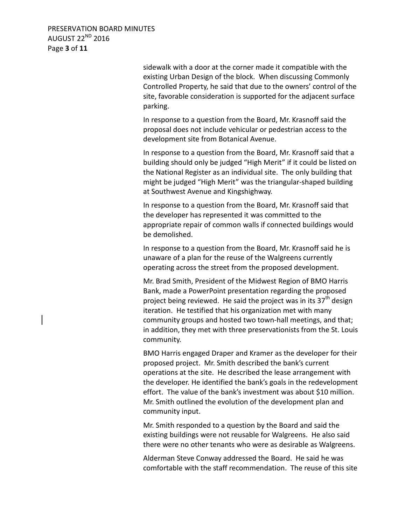PRESERVATION BOARD MINUTES AUGUST 22ND 2016 Page **3** of **11**

> sidewalk with a door at the corner made it compatible with the existing Urban Design of the block. When discussing Commonly Controlled Property, he said that due to the owners' control of the site, favorable consideration is supported for the adjacent surface parking.

In response to a question from the Board, Mr. Krasnoff said the proposal does not include vehicular or pedestrian access to the development site from Botanical Avenue.

In response to a question from the Board, Mr. Krasnoff said that a building should only be judged "High Merit" if it could be listed on the National Register as an individual site. The only building that might be judged "High Merit" was the triangular-shaped building at Southwest Avenue and Kingshighway.

In response to a question from the Board, Mr. Krasnoff said that the developer has represented it was committed to the appropriate repair of common walls if connected buildings would be demolished.

In response to a question from the Board, Mr. Krasnoff said he is unaware of a plan for the reuse of the Walgreens currently operating across the street from the proposed development.

Mr. Brad Smith, President of the Midwest Region of BMO Harris Bank, made a PowerPoint presentation regarding the proposed project being reviewed. He said the project was in its  $37<sup>th</sup>$  design iteration. He testified that his organization met with many community groups and hosted two town-hall meetings, and that; in addition, they met with three preservationists from the St. Louis community.

BMO Harris engaged Draper and Kramer as the developer for their proposed project. Mr. Smith described the bank's current operations at the site. He described the lease arrangement with the developer. He identified the bank's goals in the redevelopment effort. The value of the bank's investment was about \$10 million. Mr. Smith outlined the evolution of the development plan and community input.

Mr. Smith responded to a question by the Board and said the existing buildings were not reusable for Walgreens. He also said there were no other tenants who were as desirable as Walgreens.

Alderman Steve Conway addressed the Board. He said he was comfortable with the staff recommendation. The reuse of this site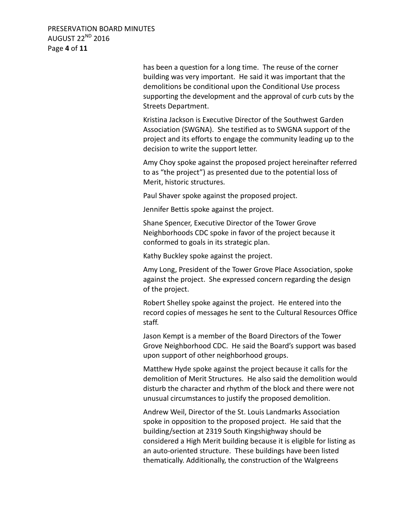PRESERVATION BOARD MINUTES AUGUST 22ND 2016 Page **4** of **11**

> has been a question for a long time. The reuse of the corner building was very important. He said it was important that the demolitions be conditional upon the Conditional Use process supporting the development and the approval of curb cuts by the Streets Department.

> Kristina Jackson is Executive Director of the Southwest Garden Association (SWGNA). She testified as to SWGNA support of the project and its efforts to engage the community leading up to the decision to write the support letter.

Amy Choy spoke against the proposed project hereinafter referred to as "the project") as presented due to the potential loss of Merit, historic structures.

Paul Shaver spoke against the proposed project.

Jennifer Bettis spoke against the project.

Shane Spencer, Executive Director of the Tower Grove Neighborhoods CDC spoke in favor of the project because it conformed to goals in its strategic plan.

Kathy Buckley spoke against the project.

Amy Long, President of the Tower Grove Place Association, spoke against the project. She expressed concern regarding the design of the project.

Robert Shelley spoke against the project. He entered into the record copies of messages he sent to the Cultural Resources Office staff.

Jason Kempt is a member of the Board Directors of the Tower Grove Neighborhood CDC. He said the Board's support was based upon support of other neighborhood groups.

Matthew Hyde spoke against the project because it calls for the demolition of Merit Structures. He also said the demolition would disturb the character and rhythm of the block and there were not unusual circumstances to justify the proposed demolition.

Andrew Weil, Director of the St. Louis Landmarks Association spoke in opposition to the proposed project. He said that the building/section at 2319 South Kingshighway should be considered a High Merit building because it is eligible for listing as an auto-oriented structure. These buildings have been listed thematically. Additionally, the construction of the Walgreens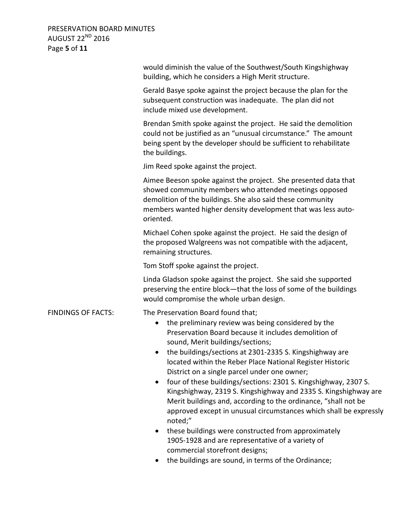PRESERVATION BOARD MINUTES AUGUST 22<sup>ND</sup> 2016 Page **5** of **11**

|                           | would diminish the value of the Southwest/South Kingshighway<br>building, which he considers a High Merit structure.                                                                                                                                                                                                                                                                                                                                                                                                                                                                                                                                                                                                                                                                                                                                                               |
|---------------------------|------------------------------------------------------------------------------------------------------------------------------------------------------------------------------------------------------------------------------------------------------------------------------------------------------------------------------------------------------------------------------------------------------------------------------------------------------------------------------------------------------------------------------------------------------------------------------------------------------------------------------------------------------------------------------------------------------------------------------------------------------------------------------------------------------------------------------------------------------------------------------------|
|                           | Gerald Basye spoke against the project because the plan for the<br>subsequent construction was inadequate. The plan did not<br>include mixed use development.                                                                                                                                                                                                                                                                                                                                                                                                                                                                                                                                                                                                                                                                                                                      |
|                           | Brendan Smith spoke against the project. He said the demolition<br>could not be justified as an "unusual circumstance." The amount<br>being spent by the developer should be sufficient to rehabilitate<br>the buildings.                                                                                                                                                                                                                                                                                                                                                                                                                                                                                                                                                                                                                                                          |
|                           | Jim Reed spoke against the project.                                                                                                                                                                                                                                                                                                                                                                                                                                                                                                                                                                                                                                                                                                                                                                                                                                                |
|                           | Aimee Beeson spoke against the project. She presented data that<br>showed community members who attended meetings opposed<br>demolition of the buildings. She also said these community<br>members wanted higher density development that was less auto-<br>oriented.                                                                                                                                                                                                                                                                                                                                                                                                                                                                                                                                                                                                              |
|                           | Michael Cohen spoke against the project. He said the design of<br>the proposed Walgreens was not compatible with the adjacent,<br>remaining structures.                                                                                                                                                                                                                                                                                                                                                                                                                                                                                                                                                                                                                                                                                                                            |
|                           | Tom Stoff spoke against the project.                                                                                                                                                                                                                                                                                                                                                                                                                                                                                                                                                                                                                                                                                                                                                                                                                                               |
|                           | Linda Gladson spoke against the project. She said she supported<br>preserving the entire block-that the loss of some of the buildings<br>would compromise the whole urban design.                                                                                                                                                                                                                                                                                                                                                                                                                                                                                                                                                                                                                                                                                                  |
| <b>FINDINGS OF FACTS:</b> | The Preservation Board found that;<br>the preliminary review was being considered by the<br>$\bullet$<br>Preservation Board because it includes demolition of<br>sound, Merit buildings/sections;<br>the buildings/sections at 2301-2335 S. Kingshighway are<br>located within the Reber Place National Register Historic<br>District on a single parcel under one owner;<br>four of these buildings/sections: 2301 S. Kingshighway, 2307 S.<br>Kingshighway, 2319 S. Kingshighway and 2335 S. Kingshighway are<br>Merit buildings and, according to the ordinance, "shall not be<br>approved except in unusual circumstances which shall be expressly<br>noted;"<br>these buildings were constructed from approximately<br>$\bullet$<br>1905-1928 and are representative of a variety of<br>commercial storefront designs;<br>the buildings are sound, in terms of the Ordinance; |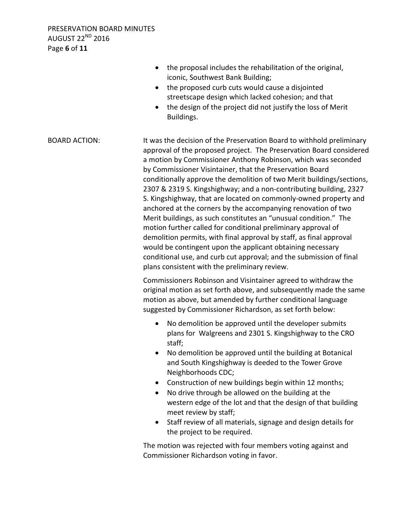|                      | the proposal includes the rehabilitation of the original,<br>iconic, Southwest Bank Building;<br>the proposed curb cuts would cause a disjointed<br>streetscape design which lacked cohesion; and that<br>the design of the project did not justify the loss of Merit<br>Buildings.                                                                                                                                                                                                                                                                                                                                                                                                                                                                                                                                                                                                                                                                             |
|----------------------|-----------------------------------------------------------------------------------------------------------------------------------------------------------------------------------------------------------------------------------------------------------------------------------------------------------------------------------------------------------------------------------------------------------------------------------------------------------------------------------------------------------------------------------------------------------------------------------------------------------------------------------------------------------------------------------------------------------------------------------------------------------------------------------------------------------------------------------------------------------------------------------------------------------------------------------------------------------------|
| <b>BOARD ACTION:</b> | It was the decision of the Preservation Board to withhold preliminary<br>approval of the proposed project. The Preservation Board considered<br>a motion by Commissioner Anthony Robinson, which was seconded<br>by Commissioner Visintainer, that the Preservation Board<br>conditionally approve the demolition of two Merit buildings/sections,<br>2307 & 2319 S. Kingshighway; and a non-contributing building, 2327<br>S. Kingshighway, that are located on commonly-owned property and<br>anchored at the corners by the accompanying renovation of two<br>Merit buildings, as such constitutes an "unusual condition." The<br>motion further called for conditional preliminary approval of<br>demolition permits, with final approval by staff, as final approval<br>would be contingent upon the applicant obtaining necessary<br>conditional use, and curb cut approval; and the submission of final<br>plans consistent with the preliminary review. |
|                      | Commissioners Robinson and Visintainer agreed to withdraw the<br>original motion as set forth above, and subsequently made the same<br>motion as above, but amended by further conditional language<br>suggested by Commissioner Richardson, as set forth below:                                                                                                                                                                                                                                                                                                                                                                                                                                                                                                                                                                                                                                                                                                |
|                      | No demolition be approved until the developer submits<br>$\bullet$<br>plans for Walgreens and 2301 S. Kingshighway to the CRO<br>staff;<br>No demolition be approved until the building at Botanical<br>and South Kingshighway is deeded to the Tower Grove<br>Neighborhoods CDC;<br>Construction of new buildings begin within 12 months;<br>$\bullet$<br>No drive through be allowed on the building at the<br>$\bullet$<br>western edge of the lot and that the design of that building<br>meet review by staff;<br>Staff review of all materials, signage and design details for<br>$\bullet$<br>the project to be required.                                                                                                                                                                                                                                                                                                                                |
|                      | The motion was rejected with four members voting against and<br>Commissioner Richardson voting in favor.                                                                                                                                                                                                                                                                                                                                                                                                                                                                                                                                                                                                                                                                                                                                                                                                                                                        |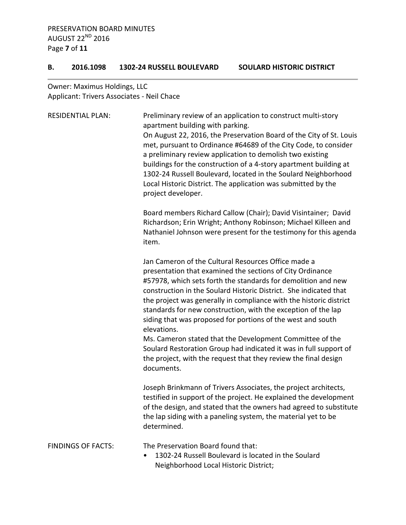#### **B. 2016.1098 1302-24 RUSSELL BOULEVARD SOULARD HISTORIC DISTRICT**

Owner: Maximus Holdings, LLC Applicant: Trivers Associates - Neil Chace

| <b>RESIDENTIAL PLAN:</b>  | Preliminary review of an application to construct multi-story<br>apartment building with parking.<br>On August 22, 2016, the Preservation Board of the City of St. Louis<br>met, pursuant to Ordinance #64689 of the City Code, to consider<br>a preliminary review application to demolish two existing<br>buildings for the construction of a 4-story apartment building at<br>1302-24 Russell Boulevard, located in the Soulard Neighborhood<br>Local Historic District. The application was submitted by the<br>project developer.                                                                                                                                          |
|---------------------------|---------------------------------------------------------------------------------------------------------------------------------------------------------------------------------------------------------------------------------------------------------------------------------------------------------------------------------------------------------------------------------------------------------------------------------------------------------------------------------------------------------------------------------------------------------------------------------------------------------------------------------------------------------------------------------|
|                           | Board members Richard Callow (Chair); David Visintainer; David<br>Richardson; Erin Wright; Anthony Robinson; Michael Killeen and<br>Nathaniel Johnson were present for the testimony for this agenda<br>item.                                                                                                                                                                                                                                                                                                                                                                                                                                                                   |
|                           | Jan Cameron of the Cultural Resources Office made a<br>presentation that examined the sections of City Ordinance<br>#57978, which sets forth the standards for demolition and new<br>construction in the Soulard Historic District. She indicated that<br>the project was generally in compliance with the historic district<br>standards for new construction, with the exception of the lap<br>siding that was proposed for portions of the west and south<br>elevations.<br>Ms. Cameron stated that the Development Committee of the<br>Soulard Restoration Group had indicated it was in full support of<br>the project, with the request that they review the final design |
|                           | documents.                                                                                                                                                                                                                                                                                                                                                                                                                                                                                                                                                                                                                                                                      |
|                           | Joseph Brinkmann of Trivers Associates, the project architects,<br>testified in support of the project. He explained the development<br>of the design, and stated that the owners had agreed to substitute<br>the lap siding with a paneling system, the material yet to be<br>determined.                                                                                                                                                                                                                                                                                                                                                                                      |
| <b>FINDINGS OF FACTS:</b> | The Preservation Board found that:<br>1302-24 Russell Boulevard is located in the Soulard                                                                                                                                                                                                                                                                                                                                                                                                                                                                                                                                                                                       |

Neighborhood Local Historic District;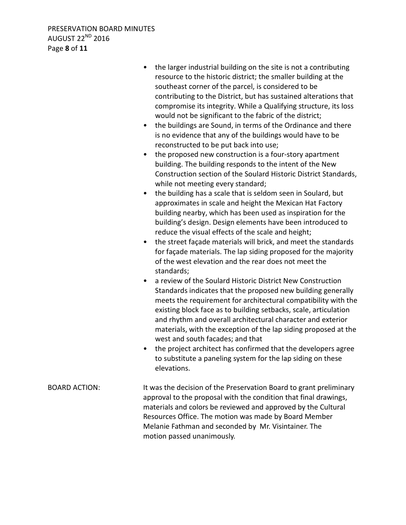- the larger industrial building on the site is not a contributing resource to the historic district; the smaller building at the southeast corner of the parcel, is considered to be contributing to the District, but has sustained alterations that compromise its integrity. While a Qualifying structure, its loss would not be significant to the fabric of the district;
- the buildings are Sound, in terms of the Ordinance and there is no evidence that any of the buildings would have to be reconstructed to be put back into use;
- the proposed new construction is a four-story apartment building. The building responds to the intent of the New Construction section of the Soulard Historic District Standards, while not meeting every standard;
- the building has a scale that is seldom seen in Soulard, but approximates in scale and height the Mexican Hat Factory building nearby, which has been used as inspiration for the building's design. Design elements have been introduced to reduce the visual effects of the scale and height;
- the street façade materials will brick, and meet the standards for façade materials. The lap siding proposed for the majority of the west elevation and the rear does not meet the standards;
- a review of the Soulard Historic District New Construction Standards indicates that the proposed new building generally meets the requirement for architectural compatibility with the existing block face as to building setbacks, scale, articulation and rhythm and overall architectural character and exterior materials, with the exception of the lap siding proposed at the west and south facades; and that
- the project architect has confirmed that the developers agree to substitute a paneling system for the lap siding on these elevations.
- BOARD ACTION: It was the decision of the Preservation Board to grant preliminary approval to the proposal with the condition that final drawings, materials and colors be reviewed and approved by the Cultural Resources Office. The motion was made by Board Member Melanie Fathman and seconded by Mr. Visintainer. The motion passed unanimously.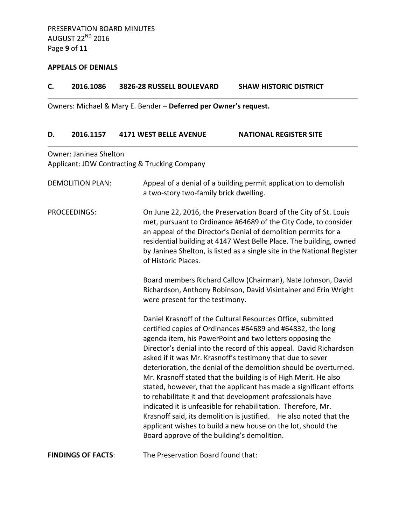## **APPEALS OF DENIALS**

## **C. 2016.1086 3826-28 RUSSELL BOULEVARD SHAW HISTORIC DISTRICT**

Owners: Michael & Mary E. Bender – **Deferred per Owner's request.**

#### **D. 2016.1157 4171 WEST BELLE AVENUE NATIONAL REGISTER SITE**

Owner: Janinea Shelton Applicant: JDW Contracting & Trucking Company

| <b>DEMOLITION PLAN:</b>   | Appeal of a denial of a building permit application to demolish<br>a two-story two-family brick dwelling.                                                                                                                                                                                                                                                                                                                                                                                                                                                                                                                                                                                                                                                                                                                                                   |
|---------------------------|-------------------------------------------------------------------------------------------------------------------------------------------------------------------------------------------------------------------------------------------------------------------------------------------------------------------------------------------------------------------------------------------------------------------------------------------------------------------------------------------------------------------------------------------------------------------------------------------------------------------------------------------------------------------------------------------------------------------------------------------------------------------------------------------------------------------------------------------------------------|
| <b>PROCEEDINGS:</b>       | On June 22, 2016, the Preservation Board of the City of St. Louis<br>met, pursuant to Ordinance #64689 of the City Code, to consider<br>an appeal of the Director's Denial of demolition permits for a<br>residential building at 4147 West Belle Place. The building, owned<br>by Janinea Shelton, is listed as a single site in the National Register<br>of Historic Places.                                                                                                                                                                                                                                                                                                                                                                                                                                                                              |
|                           | Board members Richard Callow (Chairman), Nate Johnson, David<br>Richardson, Anthony Robinson, David Visintainer and Erin Wright<br>were present for the testimony.                                                                                                                                                                                                                                                                                                                                                                                                                                                                                                                                                                                                                                                                                          |
|                           | Daniel Krasnoff of the Cultural Resources Office, submitted<br>certified copies of Ordinances #64689 and #64832, the long<br>agenda item, his PowerPoint and two letters opposing the<br>Director's denial into the record of this appeal. David Richardson<br>asked if it was Mr. Krasnoff's testimony that due to sever<br>deterioration, the denial of the demolition should be overturned.<br>Mr. Krasnoff stated that the building is of High Merit. He also<br>stated, however, that the applicant has made a significant efforts<br>to rehabilitate it and that development professionals have<br>indicated it is unfeasible for rehabilitation. Therefore, Mr.<br>Krasnoff said, its demolition is justified. He also noted that the<br>applicant wishes to build a new house on the lot, should the<br>Board approve of the building's demolition. |
| <b>FINDINGS OF FACTS:</b> | The Preservation Board found that:                                                                                                                                                                                                                                                                                                                                                                                                                                                                                                                                                                                                                                                                                                                                                                                                                          |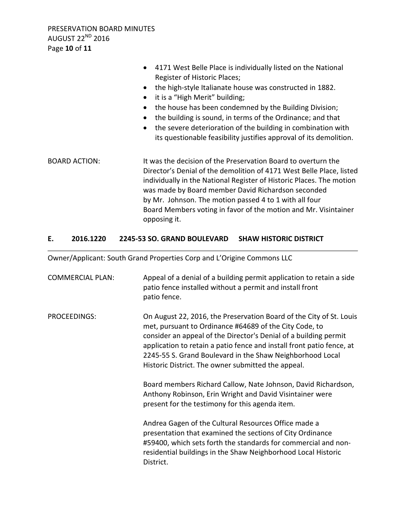- 4171 West Belle Place is individually listed on the National Register of Historic Places;
- the high-style Italianate house was constructed in 1882.
- it is a "High Merit" building;
- the house has been condemned by the Building Division;
- the building is sound, in terms of the Ordinance; and that
- the severe deterioration of the building in combination with its questionable feasibility justifies approval of its demolition.
- BOARD ACTION: It was the decision of the Preservation Board to overturn the Director's Denial of the demolition of 4171 West Belle Place, listed individually in the National Register of Historic Places. The motion was made by Board member David Richardson seconded by Mr. Johnson. The motion passed 4 to 1 with all four Board Members voting in favor of the motion and Mr. Visintainer opposing it.

# **E. 2016.1220 2245-53 SO. GRAND BOULEVARD SHAW HISTORIC DISTRICT**

Owner/Applicant: South Grand Properties Corp and L'Origine Commons LLC

| <b>COMMERCIAL PLAN:</b> | Appeal of a denial of a building permit application to retain a side<br>patio fence installed without a permit and install front<br>patio fence.                                                                                                                                                                                                                                              |
|-------------------------|-----------------------------------------------------------------------------------------------------------------------------------------------------------------------------------------------------------------------------------------------------------------------------------------------------------------------------------------------------------------------------------------------|
| PROCEEDINGS:            | On August 22, 2016, the Preservation Board of the City of St. Louis<br>met, pursuant to Ordinance #64689 of the City Code, to<br>consider an appeal of the Director's Denial of a building permit<br>application to retain a patio fence and install front patio fence, at<br>2245-55 S. Grand Boulevard in the Shaw Neighborhood Local<br>Historic District. The owner submitted the appeal. |
|                         | Board members Richard Callow, Nate Johnson, David Richardson,<br>Anthony Robinson, Erin Wright and David Visintainer were<br>present for the testimony for this agenda item.                                                                                                                                                                                                                  |
|                         | Andrea Gagen of the Cultural Resources Office made a<br>presentation that examined the sections of City Ordinance<br>#59400, which sets forth the standards for commercial and non-<br>residential buildings in the Shaw Neighborhood Local Historic<br>District.                                                                                                                             |